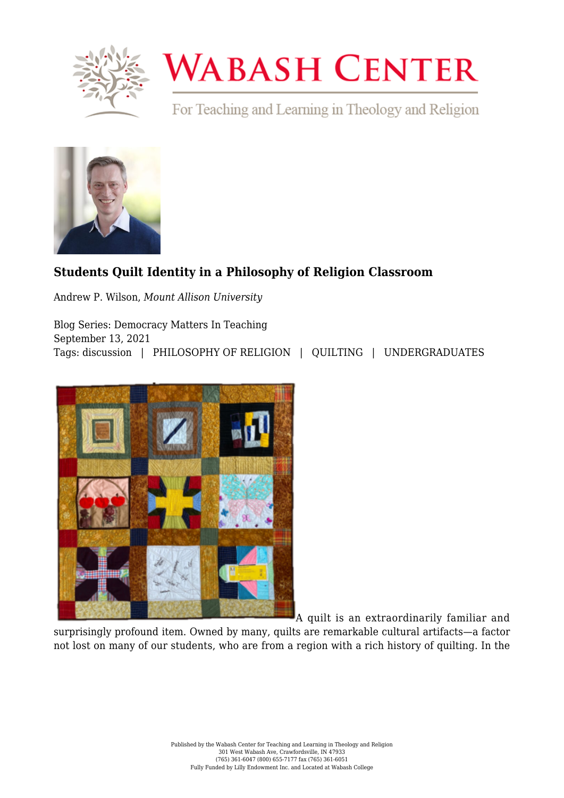

## **WABASH CENTER**

For Teaching and Learning in Theology and Religion



## **[Students Quilt Identity in a Philosophy of Religion Classroom](https://www.wabashcenter.wabash.edu/2021/09/students-quilt-identity-in-a-philosophy-of-religion-classroom/)**

Andrew P. Wilson, *Mount Allison University*

Blog Series: Democracy Matters In Teaching September 13, 2021 Tags: discussion | PHILOSOPHY OF RELIGION | QUILTING | UNDERGRADUATES



A quilt is an extraordinarily familiar and

surprisingly profound item. Owned by many, quilts are remarkable cultural artifacts—a factor not lost on many of our students, who are from a region with a rich history of quilting. In the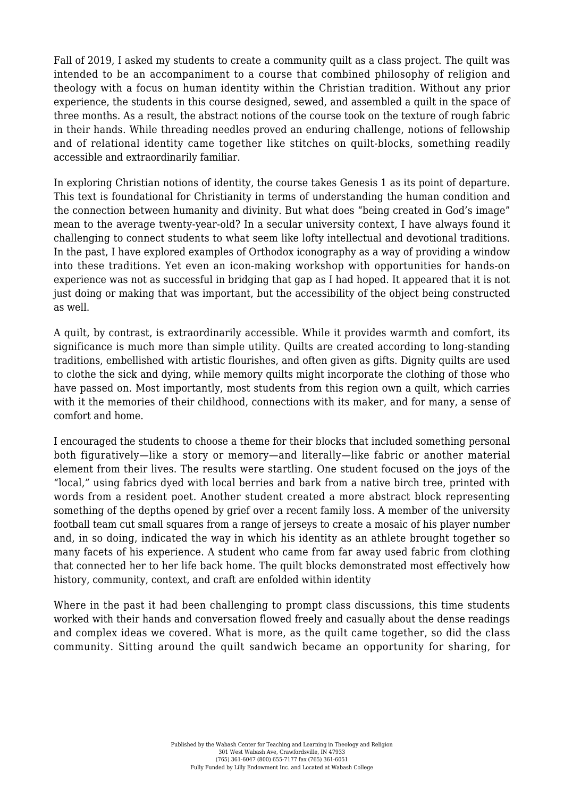Fall of 2019, I asked my students to create a community quilt as a class project. The quilt was intended to be an accompaniment to a course that combined philosophy of religion and theology with a focus on human identity within the Christian tradition. Without any prior experience, the students in this course designed, sewed, and assembled a quilt in the space of three months. As a result, the abstract notions of the course took on the texture of rough fabric in their hands. While threading needles proved an enduring challenge, notions of fellowship and of relational identity came together like stitches on quilt-blocks, something readily accessible and extraordinarily familiar.

In exploring Christian notions of identity, the course takes Genesis 1 as its point of departure. This text is foundational for Christianity in terms of understanding the human condition and the connection between humanity and divinity. But what does "being created in God's image" mean to the average twenty-year-old? In a secular university context, I have always found it challenging to connect students to what seem like lofty intellectual and devotional traditions. In the past, I have explored examples of Orthodox iconography as a way of providing a window into these traditions. Yet even an icon-making workshop with opportunities for hands-on experience was not as successful in bridging that gap as I had hoped. It appeared that it is not just doing or making that was important, but the accessibility of the object being constructed as well.

A quilt, by contrast, is extraordinarily accessible. While it provides warmth and comfort, its significance is much more than simple utility. Quilts are created according to long-standing traditions, embellished with artistic flourishes, and often given as gifts. Dignity quilts are used to clothe the sick and dying, while memory quilts might incorporate the clothing of those who have passed on. Most importantly, most students from this region own a quilt, which carries with it the memories of their childhood, connections with its maker, and for many, a sense of comfort and home.

I encouraged the students to choose a theme for their blocks that included something personal both figuratively—like a story or memory—and literally—like fabric or another material element from their lives. The results were startling. One student focused on the joys of the "local," using fabrics dyed with local berries and bark from a native birch tree, printed with words from a resident poet. Another student created a more abstract block representing something of the depths opened by grief over a recent family loss. A member of the university football team cut small squares from a range of jerseys to create a mosaic of his player number and, in so doing, indicated the way in which his identity as an athlete brought together so many facets of his experience. A student who came from far away used fabric from clothing that connected her to her life back home. The quilt blocks demonstrated most effectively how history, community, context, and craft are enfolded within identity

Where in the past it had been challenging to prompt class discussions, this time students worked with their hands and conversation flowed freely and casually about the dense readings and complex ideas we covered. What is more, as the quilt came together, so did the class community. Sitting around the quilt sandwich became an opportunity for sharing, for